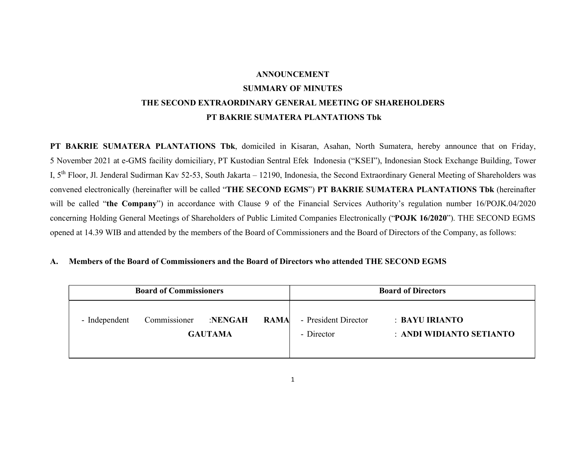# ANNOUNCEMENT SUMMARY OF MINUTES THE SECOND EXTRAORDINARY GENERAL MEETING OF SHAREHOLDERS PT BAKRIE SUMATERA PLANTATIONS Tbk

PT BAKRIE SUMATERA PLANTATIONS Tbk, domiciled in Kisaran, Asahan, North Sumatera, hereby announce that on Friday, 5 November 2021 at e-GMS facility domiciliary, PT Kustodian Sentral Efek Indonesia ("KSEI"), Indonesian Stock Exchange Building, Tower I, 5th Floor, Jl. Jenderal Sudirman Kav 52-53, South Jakarta – 12190, Indonesia, the Second Extraordinary General Meeting of Shareholders was convened electronically (hereinafter will be called "THE SECOND EGMS") PT BAKRIE SUMATERA PLANTATIONS Tbk (hereinafter will be called "the Company") in accordance with Clause 9 of the Financial Services Authority's regulation number 16/POJK.04/2020 concerning Holding General Meetings of Shareholders of Public Limited Companies Electronically ("POJK 16/2020"). THE SECOND EGMS opened at 14.39 WIB and attended by the members of the Board of Commissioners and the Board of Directors of the Company, as follows:

## A. Members of the Board of Commissioners and the Board of Directors who attended THE SECOND EGMS

| <b>Board of Commissioners</b> |                                                       |  |  | <b>Board of Directors</b>          |                                            |
|-------------------------------|-------------------------------------------------------|--|--|------------------------------------|--------------------------------------------|
| - Independent                 | Commissioner :NENGAH<br><b>RAMA</b><br><b>GAUTAMA</b> |  |  | - President Director<br>- Director | : BAYU IRIANTO<br>: ANDI WIDIANTO SETIANTO |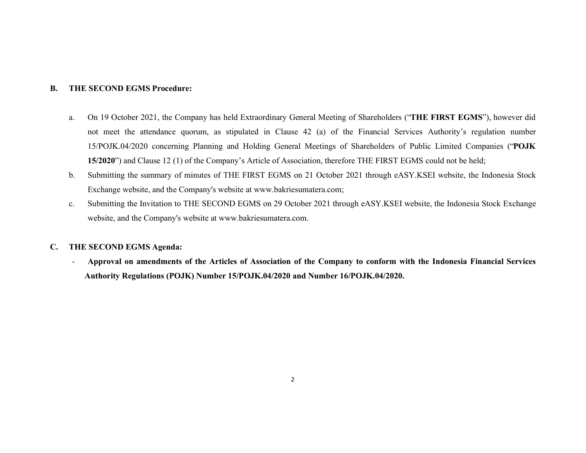#### B. THE SECOND EGMS Procedure:

- a. On 19 October 2021, the Company has held Extraordinary General Meeting of Shareholders ("THE FIRST EGMS"), however did not meet the attendance quorum, as stipulated in Clause 42 (a) of the Financial Services Authority's regulation number 15/POJK.04/2020 concerning Planning and Holding General Meetings of Shareholders of Public Limited Companies ("POJK 15/2020") and Clause 12 (1) of the Company's Article of Association, therefore THE FIRST EGMS could not be held;
- b. Submitting the summary of minutes of THE FIRST EGMS on 21 October 2021 through eASY.KSEI website, the Indonesia Stock Exchange website, and the Company's website at www.bakriesumatera.com;
- c. Submitting the Invitation to THE SECOND EGMS on 29 October 2021 through eASY.KSEI website, the Indonesia Stock Exchange website, and the Company's website at www.bakriesumatera.com.

## C. THE SECOND EGMS Agenda:

- Approval on amendments of the Articles of Association of the Company to conform with the Indonesia Financial Services Authority Regulations (POJK) Number 15/POJK.04/2020 and Number 16/POJK.04/2020.